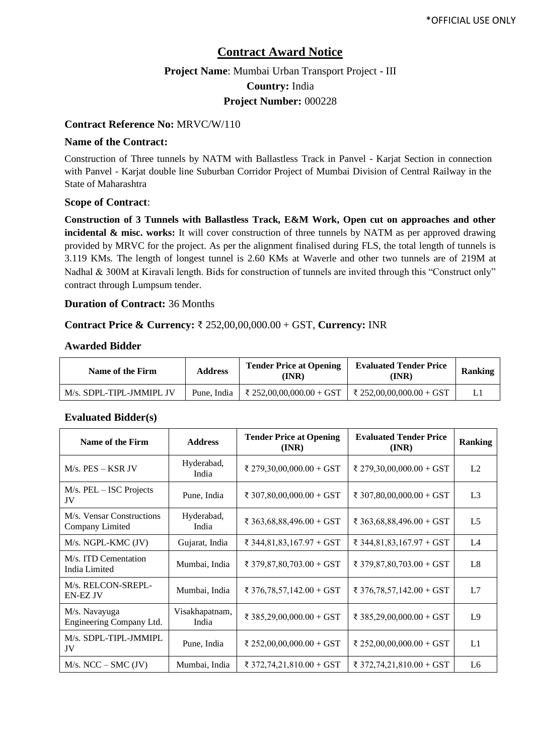### **Contract Award Notice**

## **Project Name**: Mumbai Urban Transport Project - III **Country:** India **Project Number:** 000228

#### **Contract Reference No:** MRVC/W/110

#### **Name of the Contract:**

Construction of Three tunnels by NATM with Ballastless Track in Panvel - Karjat Section in connection with Panvel - Karjat double line Suburban Corridor Project of Mumbai Division of Central Railway in the State of Maharashtra

#### **Scope of Contract**:

**Construction of 3 Tunnels with Ballastless Track, E&M Work, Open cut on approaches and other incidental & misc. works:** It will cover construction of three tunnels by NATM as per approved drawing provided by MRVC for the project. As per the alignment finalised during FLS, the total length of tunnels is 3.119 KMs. The length of longest tunnel is 2.60 KMs at Waverle and other two tunnels are of 219M at Nadhal & 300M at Kiravali length. Bids for construction of tunnels are invited through this "Construct only" contract through Lumpsum tender.

#### **Duration of Contract:** 36 Months

#### **Contract Price & Currency:** ₹ 252,00,00,000.00 + GST, **Currency:** INR

#### **Awarded Bidder**

| Name of the Firm         | <b>Address</b> | <b>Tender Price at Opening</b><br>(INR) | <b>Evaluated Tender Price</b><br>(INR) | <b>Ranking</b> |
|--------------------------|----------------|-----------------------------------------|----------------------------------------|----------------|
| M/s. SDPL-TIPL-JMMIPL JV | Pune, India    | ₹ 252,00,00,000,00 + GST                | ₹ 252,00,00,000.00 + GST               |                |

| Name of the Firm                             | <b>Address</b>          | <b>Tender Price at Opening</b><br>(INR) | <b>Evaluated Tender Price</b><br>(INR) | <b>Ranking</b> |
|----------------------------------------------|-------------------------|-----------------------------------------|----------------------------------------|----------------|
| $M/s. PES - KSRJV$                           | Hyderabad,<br>India     | ₹ 279,30,00,000.00 + GST                | ₹ 279,30,00,000.00 + GST               | L2             |
| $M/s. PEL - ISC$ Projects<br>JV              | Pune, India             | ₹ 307,80,00,000.00 + GST                | ₹ 307,80,00,000.00 + GST               | L <sub>3</sub> |
| M/s. Vensar Constructions<br>Company Limited | Hyderabad,<br>India     | ₹ 363,68,88,496.00 + GST                | ₹ 363,68,88,496.00 + GST               | L <sub>5</sub> |
| M/s. NGPL-KMC (JV)                           | Gujarat, India          | ₹ 344,81,83,167.97 + GST                | ₹ 344,81,83,167.97 + GST               | L4             |
| M/s. ITD Cementation<br>India Limited        | Mumbai, India           | ₹ 379,87,80,703.00 + GST                | ₹ 379,87,80,703.00 + GST               | L8             |
| M/s. RELCON-SREPL-<br><b>EN-EZ JV</b>        | Mumbai, India           | ₹ 376,78,57,142.00 + GST                | ₹ 376,78,57,142.00 + GST               | L7             |
| M/s. Navayuga<br>Engineering Company Ltd.    | Visakhapatnam,<br>India | ₹ 385,29,00,000.00 + GST                | ₹ 385,29,00,000.00 + GST               | L <sup>9</sup> |
| M/s. SDPL-TIPL-JMMIPL<br>JV                  | Pune, India             | ₹ 252,00,00,000.00 + GST                | ₹ 252,00,00,000.00 + GST               | L1             |
| $M/s. NCC - SMC (JV)$                        | Mumbai, India           | ₹ 372,74,21,810.00 + GST                | ₹ 372,74,21,810.00 + GST               | L <sub>6</sub> |

#### **Evaluated Bidder(s)**